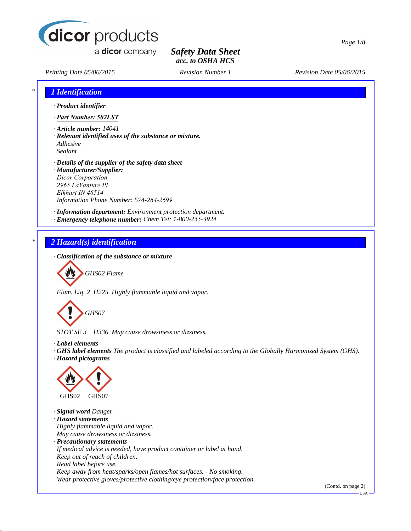

a **dicor** company

## *Safety Data Sheet acc. to OSHA HCS*

*Printing Date 05/06/2015 Revision Number 1 Revision Date 05/06/2015*

# *\* 1 Identification · Product identifier · Part Number: 502LST · Article number: 14041 · Relevant identified uses of the substance or mixture. Adhesive Sealant · Details of the supplier of the safety data sheet · Manufacturer/Supplier: Dicor Corporation 2965 LaVanture Pl Elkhart IN 46514 Information Phone Number: 574-264-2699 · Information department: Environment protection department. · Emergency telephone number: Chem Tel: 1-800-255-3924 \* 2 Hazard(s) identification · Classification of the substance or mixture GHS02 Flame Flam. Liq. 2 H225 Highly flammable liquid and vapor. GHS07 STOT SE 3 H336 May cause drowsiness or dizziness. · Label elements*

*· GHS label elements The product is classified and labeled according to the Globally Harmonized System (GHS). · Hazard pictograms*



*· Signal word Danger · Hazard statements Highly flammable liquid and vapor. May cause drowsiness or dizziness. · Precautionary statements If medical advice is needed, have product container or label at hand. Keep out of reach of children. Read label before use. Keep away from heat/sparks/open flames/hot surfaces. - No smoking. Wear protective gloves/protective clothing/eye protection/face protection.*

(Contd. on page 2)

USA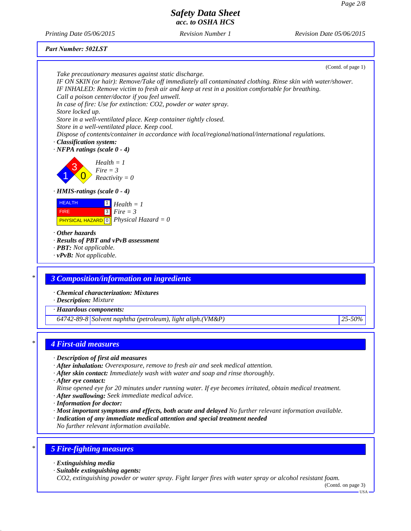*Printing Date 05/06/2015 Revision Number 1 Revision Date 05/06/2015*

|  | Part Number: 502LST |  |
|--|---------------------|--|
|--|---------------------|--|

| Take precautionary measures against static discharge.                                                                                                                                                          |        |
|----------------------------------------------------------------------------------------------------------------------------------------------------------------------------------------------------------------|--------|
|                                                                                                                                                                                                                |        |
| IF ON SKIN (or hair): Remove/Take off immediately all contaminated clothing. Rinse skin with water/shower.<br>IF INHALED: Remove victim to fresh air and keep at rest in a position comfortable for breathing. |        |
| Call a poison center/doctor if you feel unwell.                                                                                                                                                                |        |
| In case of fire: Use for extinction: CO2, powder or water spray.                                                                                                                                               |        |
| Store locked up.                                                                                                                                                                                               |        |
| Store in a well-ventilated place. Keep container tightly closed.                                                                                                                                               |        |
| Store in a well-ventilated place. Keep cool.                                                                                                                                                                   |        |
| Dispose of contents/container in accordance with local/regional/national/international regulations.                                                                                                            |        |
| · Classification system:                                                                                                                                                                                       |        |
| $\cdot$ NFPA ratings (scale 0 - 4)                                                                                                                                                                             |        |
| $Health = 1$                                                                                                                                                                                                   |        |
| $Fire = 3$                                                                                                                                                                                                     |        |
| $Reactivity = 0$                                                                                                                                                                                               |        |
| · HMIS-ratings (scale 0 - 4)                                                                                                                                                                                   |        |
| <b>HEALTH</b><br>$\Box$ Health = 1                                                                                                                                                                             |        |
| $\sqrt{3}$<br>$Fire = 3$<br><b>FIRE</b>                                                                                                                                                                        |        |
| <b>PHYSICAL HAZARD</b> 0 <i>Physical Hazard</i> = 0                                                                                                                                                            |        |
|                                                                                                                                                                                                                |        |
| Other hazards                                                                                                                                                                                                  |        |
| · Results of PBT and vPvB assessment                                                                                                                                                                           |        |
| · PBT: Not applicable.                                                                                                                                                                                         |        |
| $\cdot$ vPvB: Not applicable.                                                                                                                                                                                  |        |
|                                                                                                                                                                                                                |        |
| <b>3 Composition/information on ingredients</b>                                                                                                                                                                |        |
| · Chemical characterization: Mixtures                                                                                                                                                                          |        |
| · Description: Mixture                                                                                                                                                                                         |        |
| · Hazardous components:                                                                                                                                                                                        |        |
| $64742-89-8$ Solvent naphtha (petroleum), light aliph.(VM&P)                                                                                                                                                   | 25-50% |
|                                                                                                                                                                                                                |        |
| <b>4 First-aid measures</b>                                                                                                                                                                                    |        |
|                                                                                                                                                                                                                |        |
| · Description of first aid measures<br>· After inhalation: Overexposure, remove to fresh air and seek medical attention.                                                                                       |        |

*· After eye contact:*

*Rinse opened eye for 20 minutes under running water. If eye becomes irritated, obtain medical treatment. · After swallowing: Seek immediate medical advice.*

- *· Information for doctor:*
- *· Most important symptoms and effects, both acute and delayed No further relevant information available.*
- *· Indication of any immediate medical attention and special treatment needed*
- *No further relevant information available.*

## *\* 5 Fire-fighting measures*

- *· Extinguishing media*
- *· Suitable extinguishing agents:*

*CO2, extinguishing powder or water spray. Fight larger fires with water spray or alcohol resistant foam.*

(Contd. on page 3) USA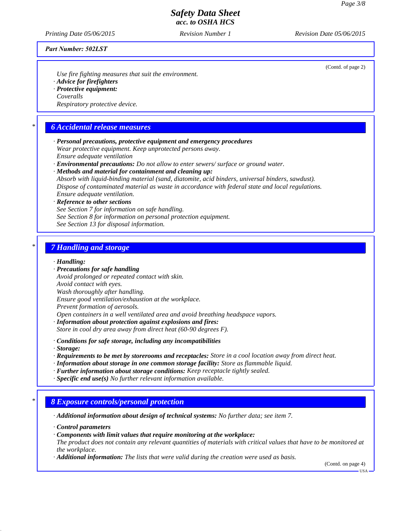(Contd. of page 2)

#### *Safety Data Sheet acc. to OSHA HCS*

*Printing Date 05/06/2015 Revision Number 1 Revision Date 05/06/2015*

#### *Part Number: 502LST*

*Use fire fighting measures that suit the environment.*

- *· Advice for firefighters*
- *· Protective equipment: Coveralls*

*Respiratory protective device.*

#### *\* 6 Accidental release measures*

- *· Personal precautions, protective equipment and emergency procedures Wear protective equipment. Keep unprotected persons away. Ensure adequate ventilation*
- *· Environmental precautions: Do not allow to enter sewers/ surface or ground water.*
- *· Methods and material for containment and cleaning up:*

*Absorb with liquid-binding material (sand, diatomite, acid binders, universal binders, sawdust). Dispose of contaminated material as waste in accordance with federal state and local regulations. Ensure adequate ventilation.*

#### *· Reference to other sections See Section 7 for information on safe handling. See Section 8 for information on personal protection equipment. See Section 13 for disposal information.*

#### *\* 7 Handling and storage*

#### *· Handling:*

- *· Precautions for safe handling Avoid prolonged or repeated contact with skin. Avoid contact with eyes. Wash thoroughly after handling. Ensure good ventilation/exhaustion at the workplace. Prevent formation of aerosols. Open containers in a well ventilated area and avoid breathing headspace vapors.*
- *· Information about protection against explosions and fires:*
- *Store in cool dry area away from direct heat (60-90 degrees F).*
- *· Conditions for safe storage, including any incompatibilities*
- *· Storage:*
- *· Requirements to be met by storerooms and receptacles: Store in a cool location away from direct heat.*
- *· Information about storage in one common storage facility: Store as flammable liquid.*
- *· Further information about storage conditions: Keep receptacle tightly sealed.*
- *· Specific end use(s) No further relevant information available.*

#### *\* 8 Exposure controls/personal protection*

- *· Additional information about design of technical systems: No further data; see item 7.*
- *· Control parameters*
- *· Components with limit values that require monitoring at the workplace:*
- *The product does not contain any relevant quantities of materials with critical values that have to be monitored at the workplace.*
- *· Additional information: The lists that were valid during the creation were used as basis.*

(Contd. on page 4)

USA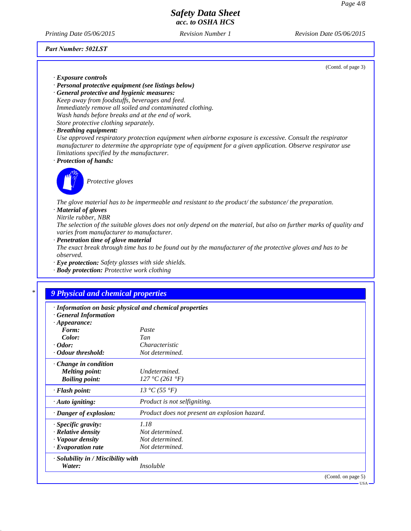*Printing Date 05/06/2015 Revision Number 1 Revision Date 05/06/2015*

*Part Number: 502LST*

(Contd. of page 3)

- *· Exposure controls*
- *· Personal protective equipment (see listings below)*

*· General protective and hygienic measures: Keep away from foodstuffs, beverages and feed. Immediately remove all soiled and contaminated clothing. Wash hands before breaks and at the end of work. Store protective clothing separately.*

*· Breathing equipment:*

*Use approved respiratory protection equipment when airborne exposure is excessive. Consult the respirator manufacturer to determine the appropriate type of equipment for a given application. Observe respirator use limitations specified by the manufacturer.*

*· Protection of hands:*



*Protective gloves*

*The glove material has to be impermeable and resistant to the product/ the substance/ the preparation. · Material of gloves*

*Nitrile rubber, NBR*

*The selection of the suitable gloves does not only depend on the material, but also on further marks of quality and varies from manufacturer to manufacturer.*

*· Penetration time of glove material*

*The exact break through time has to be found out by the manufacturer of the protective gloves and has to be observed.*

- *· Eye protection: Safety glasses with side shields.*
- *· Body protection: Protective work clothing*

## *\* 9 Physical and chemical properties*

|  | · Information on basic physical and chemical properties |  |  |
|--|---------------------------------------------------------|--|--|
|--|---------------------------------------------------------|--|--|

*· General Information*

| $\cdot$ Appearance:                      |                                               |                    |
|------------------------------------------|-----------------------------------------------|--------------------|
| Form:                                    | Paste                                         |                    |
| Color:                                   | Tan                                           |                    |
| $\cdot$ Odor:                            | Characteristic                                |                    |
| • Odour threshold:                       | Not determined.                               |                    |
| $\cdot$ Change in condition              |                                               |                    |
| <b>Melting point:</b>                    | Undetermined.                                 |                    |
| <b>Boiling point:</b>                    | 127 °C (261 °F)                               |                    |
| $\cdot$ Flash point:                     | 13 °C (55 °F)                                 |                    |
| · Auto igniting:                         | Product is not selfigniting.                  |                    |
| · Danger of explosion:                   | Product does not present an explosion hazard. |                    |
| $\cdot$ Specific gravity:                | 1.18                                          |                    |
| $\cdot$ Relative density                 | Not determined.                               |                    |
| · Vapour density                         | Not determined.                               |                    |
| $\cdot$ Evaporation rate                 | Not determined.                               |                    |
| $\cdot$ Solubility in / Miscibility with |                                               |                    |
| Water:                                   | <i>Insoluble</i>                              |                    |
|                                          |                                               | (Contd. on page 5) |

USA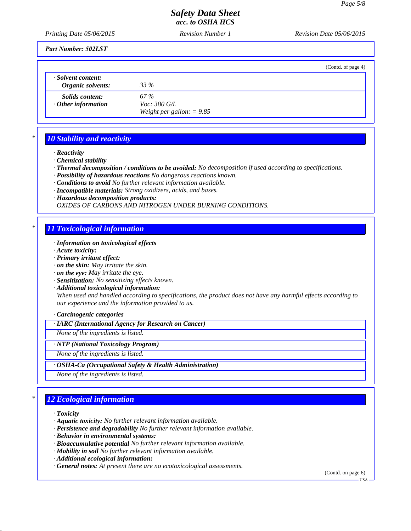*Printing Date 05/06/2015 Revision Number 1 Revision Date 05/06/2015*

*Part Number: 502LST*

|                                                     | (Contd. of page 4)                                         |  |
|-----------------------------------------------------|------------------------------------------------------------|--|
| · Solvent content:<br>Organic solvents:             | 33 %                                                       |  |
| <i>Solids content:</i><br>$\cdot$ Other information | 67 %<br><i>Voc: 380 G/L</i><br>Weight per gallon: $= 9.85$ |  |

## *\* 10 Stability and reactivity*

- *· Reactivity*
- *· Chemical stability*
- *· Thermal decomposition / conditions to be avoided: No decomposition if used according to specifications.*
- *· Possibility of hazardous reactions No dangerous reactions known.*
- *· Conditions to avoid No further relevant information available.*
- *· Incompatible materials: Strong oxidizers, acids, and bases.*
- *· Hazardous decomposition products:*

*OXIDES OF CARBONS AND NITROGEN UNDER BURNING CONDITIONS.*

#### *\* 11 Toxicological information*

- *· Information on toxicological effects*
- *· Acute toxicity:*
- *· Primary irritant effect:*
- *· on the skin: May irritate the skin.*
- *· on the eye: May irritate the eye.*
- *· Sensitization: No sensitizing effects known.*
- *· Additional toxicological information: When used and handled according to specifications, the product does not have any harmful effects according to our experience and the information provided to us.*

#### *· Carcinogenic categories*

*· IARC (International Agency for Research on Cancer)*

*None of the ingredients is listed.*

*· NTP (National Toxicology Program)*

*None of the ingredients is listed.*

*· OSHA-Ca (Occupational Safety & Health Administration)*

*None of the ingredients is listed.*

## *\* 12 Ecological information*

*· Toxicity*

- *· Aquatic toxicity: No further relevant information available.*
- *· Persistence and degradability No further relevant information available.*
- *· Behavior in environmental systems:*
- *· Bioaccumulative potential No further relevant information available.*
- *· Mobility in soil No further relevant information available.*
- *· Additional ecological information:*
- *· General notes: At present there are no ecotoxicological assessments.*

(Contd. on page 6)

USA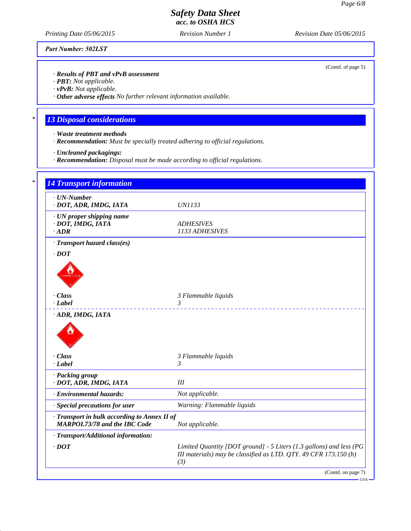*Printing Date 05/06/2015 Revision Number 1 Revision Date 05/06/2015*

*Part Number: 502LST*

*· Results of PBT and vPvB assessment*

*· PBT: Not applicable.*

*· vPvB: Not applicable.*

*· Other adverse effects No further relevant information available.*

## *\* 13 Disposal considerations*

- *· Waste treatment methods*
- *· Recommendation: Must be specially treated adhering to official regulations.*
- *· Uncleaned packagings:*
- *· Recommendation: Disposal must be made according to official regulations.*

| $\cdot$ UN-Number<br>· DOT, ADR, IMDG, IATA                                         | <b>UN1133</b>                                                                                                                           |
|-------------------------------------------------------------------------------------|-----------------------------------------------------------------------------------------------------------------------------------------|
| · UN proper shipping name<br>· DOT, IMDG, IATA<br>$\cdot$ ADR                       | <b>ADHESIVES</b><br>1133 ADHESIVES                                                                                                      |
| · Transport hazard class(es)                                                        |                                                                                                                                         |
| $\cdot$ DOT                                                                         |                                                                                                                                         |
|                                                                                     |                                                                                                                                         |
| · Class                                                                             | 3 Flammable liquids                                                                                                                     |
| $-Label$                                                                            | 3<br>.                                                                                                                                  |
|                                                                                     |                                                                                                                                         |
| · Class                                                                             | 3 Flammable liquids                                                                                                                     |
| $-Label$                                                                            | 3                                                                                                                                       |
| · Packing group<br>· DOT, ADR, IMDG, IATA                                           | III                                                                                                                                     |
| · Environmental hazards:                                                            | Not applicable.                                                                                                                         |
| · Special precautions for user                                                      | Warning: Flammable liquids                                                                                                              |
| · Transport in bulk according to Annex II of<br><b>MARPOL73/78 and the IBC Code</b> | Not applicable.                                                                                                                         |
| · Transport/Additional information:                                                 |                                                                                                                                         |
| $\cdot$ DOT                                                                         | Limited Quantity [DOT ground] - 5 Liters (1.3 gallons) and less (PG<br>III materials) may be classified as LTD. QTY. 49 CFR 173.150 (b) |

(Contd. of page 5)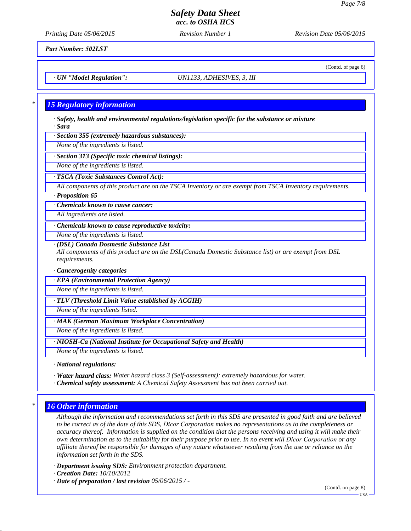(Contd. of page 6)

#### *Safety Data Sheet acc. to OSHA HCS*

*Printing Date 05/06/2015 Revision Number 1 Revision Date 05/06/2015*

*Part Number: 502LST*

*· UN "Model Regulation": UN1133, ADHESIVES, 3, III*

#### *\* 15 Regulatory information*

*· Safety, health and environmental regulations/legislation specific for the substance or mixture · Sara*

*· Section 355 (extremely hazardous substances):*

*None of the ingredients is listed.*

*· Section 313 (Specific toxic chemical listings):*

*None of the ingredients is listed.*

*· TSCA (Toxic Substances Control Act):*

*All components of this product are on the TSCA Inventory or are exempt from TSCA Inventory requirements.*

*· Proposition 65*

*· Chemicals known to cause cancer:*

*All ingredients are listed.*

*· Chemicals known to cause reproductive toxicity:*

*None of the ingredients is listed.*

*· (DSL) Canada Dosmestic Substance List*

*All components of this product are on the DSL(Canada Domestic Substance list) or are exempt from DSL requirements.*

*· Cancerogenity categories*

*· EPA (Environmental Protection Agency)*

*None of the ingredients is listed.*

*· TLV (Threshold Limit Value established by ACGIH)*

*None of the ingredients listed.*

*· MAK (German Maximum Workplace Concentration)*

*None of the ingredients is listed.*

*· NIOSH-Ca (National Institute for Occupational Safety and Health)*

*None of the ingredients is listed.*

*· National regulations:*

*· Water hazard class: Water hazard class 3 (Self-assessment): extremely hazardous for water.*

*· Chemical safety assessment: A Chemical Safety Assessment has not been carried out.*

#### *\* 16 Other information*

*Although the information and recommendations set forth in this SDS are presented in good faith and are believed to be correct as of the date of this SDS, Dicor Corporation makes no representations as to the completeness or accuracy thereof. Information is supplied on the condition that the persons receiving and using it will make their own determination as to the suitability for their purpose prior to use. In no event will Dicor Corporation or any affiliate thereof be responsible for damages of any nature whatsoever resulting from the use or reliance on the information set forth in the SDS.*

*· Department issuing SDS: Environment protection department.*

*· Creation Date: 10/10/2012*

*· Date of preparation / last revision 05/06/2015 / -*

(Contd. on page 8)

USA